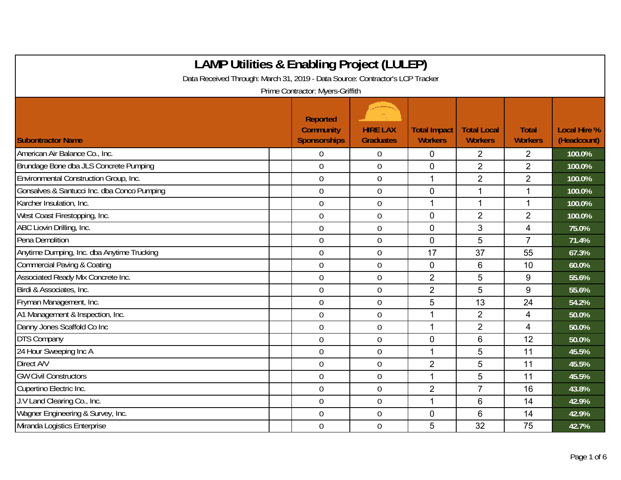| <b>LAMP Utilities &amp; Enabling Project (LULEP)</b>                          |                                                     |                                     |                                       |                                      |                                |                                    |
|-------------------------------------------------------------------------------|-----------------------------------------------------|-------------------------------------|---------------------------------------|--------------------------------------|--------------------------------|------------------------------------|
| Data Received Through: March 31, 2019 - Data Source: Contractor's LCP Tracker |                                                     |                                     |                                       |                                      |                                |                                    |
|                                                                               | Prime Contractor: Myers-Griffith                    |                                     |                                       |                                      |                                |                                    |
| <b>Subontractor Name</b>                                                      | <b>Reported</b><br>Community<br><b>Sponsorships</b> | <b>HIRE LAX</b><br><b>Graduates</b> | <b>Total Impact</b><br><b>Workers</b> | <b>Total Local</b><br><b>Workers</b> | <b>Total</b><br><b>Workers</b> | <b>Local Hire %</b><br>(Headcount) |
| American Air Balance Co., Inc.                                                | $\mathbf 0$                                         | 0                                   | 0                                     | $\overline{2}$                       | $\overline{2}$                 | 100.0%                             |
| Brundage Bone dba JLS Concrete Pumping                                        | $\mathbf 0$                                         | 0                                   | $\mathbf 0$                           | $\overline{2}$                       | $\overline{2}$                 | 100.0%                             |
| Environmental Construction Group, Inc.                                        | $\overline{0}$                                      | $\overline{0}$                      | 1                                     | $\overline{2}$                       | $\overline{2}$                 | 100.0%                             |
| Gonsalves & Santucci Inc. dba Conco Pumping                                   | $\overline{0}$                                      | 0                                   | $\mathbf{0}$                          |                                      | 1                              | 100.0%                             |
| Karcher Insulation, Inc.                                                      | $\mathbf 0$                                         | 0                                   | 1                                     | 1                                    | 1                              | 100.0%                             |
| West Coast Firestopping, Inc.                                                 | $\mathbf 0$                                         | $\overline{0}$                      | $\overline{0}$                        | $\overline{2}$                       | $\overline{2}$                 | 100.0%                             |
| ABC Liovin Drilling, Inc.                                                     | $\overline{0}$                                      | 0                                   | $\mathbf 0$                           | 3                                    | $\overline{4}$                 | 75.0%                              |
| Pena Demolition                                                               | $\mathbf 0$                                         | 0                                   | $\mathbf 0$                           | 5                                    | $\overline{7}$                 | 71.4%                              |
| Anytime Dumping, Inc. dba Anytime Trucking                                    | $\overline{0}$                                      | 0                                   | 17                                    | 37                                   | 55                             | 67.3%                              |
| Commercial Paving & Coating                                                   | $\overline{0}$                                      | 0                                   | $\mathbf 0$                           | 6                                    | 10                             | 60.0%                              |
| Associated Ready Mix Concrete Inc.                                            | $\mathbf 0$                                         | 0                                   | $\overline{2}$                        | 5                                    | 9                              | 55.6%                              |
| Birdi & Associates, Inc.                                                      | $\mathbf 0$                                         | 0                                   | $\overline{2}$                        | 5                                    | 9                              | 55.6%                              |
| Fryman Management, Inc.                                                       | $\mathbf 0$                                         | 0                                   | 5                                     | 13                                   | 24                             | 54.2%                              |
| A1 Management & Inspection, Inc.                                              | $\overline{0}$                                      | 0                                   | 1                                     | $\overline{2}$                       | 4                              | 50.0%                              |
| Danny Jones Scaffold Co Inc                                                   | $\mathbf 0$                                         | $\boldsymbol{0}$                    | 1                                     | $\overline{2}$                       | 4                              | 50.0%                              |
| <b>DTS Company</b>                                                            | $\mathbf 0$                                         | 0                                   | $\overline{0}$                        | 6                                    | 12                             | 50.0%                              |
| 24 Hour Sweeping Inc A                                                        | $\overline{0}$                                      | 0                                   | 1                                     | 5                                    | 11                             | 45.5%                              |
| Direct A/V                                                                    | $\mathbf 0$                                         | 0                                   | $\overline{2}$                        | 5                                    | 11                             | 45.5%                              |
| <b>GW Civil Constructors</b>                                                  | $\mathbf 0$                                         | 0                                   | 1                                     | 5                                    | 11                             | 45.5%                              |
| Cupertino Electric Inc.                                                       | $\mathbf 0$                                         | $\overline{0}$                      | $\overline{2}$                        | $\overline{7}$                       | 16                             | 43.8%                              |
| J.V Land Clearing Co., Inc.                                                   | $\mathbf 0$                                         | $\boldsymbol{0}$                    | 1                                     | 6                                    | 14                             | 42.9%                              |
| Wagner Engineering & Survey, Inc.                                             | $\overline{0}$                                      | $\mathbf 0$                         | $\overline{0}$                        | 6                                    | 14                             | 42.9%                              |
| Miranda Logistics Enterprise                                                  | $\mathbf 0$                                         | 0                                   | 5                                     | 32                                   | 75                             | 42.7%                              |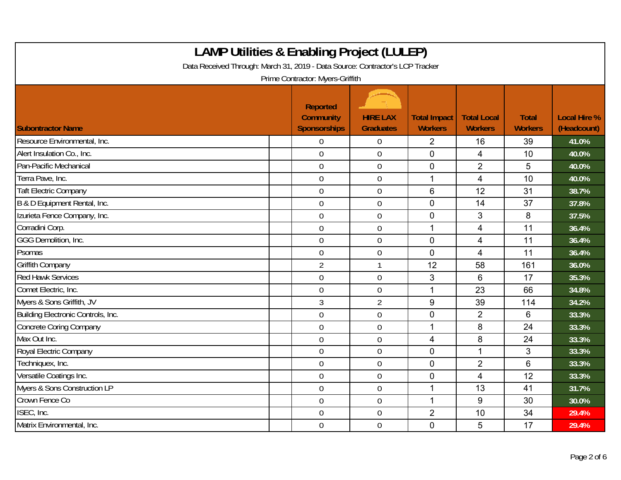| <b>LAMP Utilities &amp; Enabling Project (LULEP)</b><br>Data Received Through: March 31, 2019 - Data Source: Contractor's LCP Tracker | Prime Contractor: Myers-Griffith                           |                                     |                                       |                                      |                                |                                    |
|---------------------------------------------------------------------------------------------------------------------------------------|------------------------------------------------------------|-------------------------------------|---------------------------------------|--------------------------------------|--------------------------------|------------------------------------|
| <b>Subontractor Name</b>                                                                                                              | <b>Reported</b><br><b>Community</b><br><b>Sponsorships</b> | <b>HIRE LAX</b><br><b>Graduates</b> | <b>Total Impact</b><br><b>Workers</b> | <b>Total Local</b><br><b>Workers</b> | <b>Total</b><br><b>Workers</b> | <b>Local Hire %</b><br>(Headcount) |
| Resource Environmental, Inc.                                                                                                          | $\overline{0}$                                             | $\mathbf 0$                         | $\overline{2}$                        | 16                                   | 39                             | 41.0%                              |
| Alert Insulation Co., Inc.                                                                                                            | $\Omega$                                                   | $\mathbf 0$                         | $\overline{0}$                        | $\overline{4}$                       | 10                             | 40.0%                              |
| Pan-Pacific Mechanical                                                                                                                | $\overline{0}$                                             | $\mathbf 0$                         | $\overline{0}$                        | $\overline{2}$                       | 5                              | 40.0%                              |
| Terra Pave, Inc.                                                                                                                      | $\boldsymbol{0}$                                           | $\mathbf 0$                         | 1                                     | 4                                    | 10                             | 40.0%                              |
| <b>Taft Electric Company</b>                                                                                                          | $\overline{0}$                                             | $\overline{0}$                      | 6                                     | 12                                   | 31                             | 38.7%                              |
| B & D Equipment Rental, Inc.                                                                                                          | $\overline{0}$                                             | $\mathbf 0$                         | $\mathbf 0$                           | 14                                   | 37                             | 37.8%                              |
| Izurieta Fence Company, Inc.                                                                                                          | $\mathbf 0$                                                | $\mathbf 0$                         | $\mathbf 0$                           | 3                                    | 8                              | 37.5%                              |
| Corradini Corp.                                                                                                                       | $\overline{0}$                                             | $\mathbf 0$                         | 1                                     | 4                                    | 11                             | 36.4%                              |
| GGG Demolition, Inc.                                                                                                                  | $\overline{0}$                                             | $\mathbf 0$                         | $\mathbf 0$                           | 4                                    | 11                             | 36.4%                              |
| Psomas                                                                                                                                | $\overline{0}$                                             | $\mathbf 0$                         | $\overline{0}$                        | $\overline{4}$                       | 11                             | 36.4%                              |
| Griffith Company                                                                                                                      | $\overline{2}$                                             | $\mathbf{1}$                        | 12                                    | 58                                   | 161                            | 36.0%                              |
| <b>Red Hawk Services</b>                                                                                                              | $\mathbf 0$                                                | $\mathbf 0$                         | 3                                     | 6                                    | 17                             | 35.3%                              |
| Comet Electric, Inc.                                                                                                                  | $\overline{0}$                                             | $\overline{0}$                      | 1                                     | 23                                   | 66                             | 34.8%                              |
| Myers & Sons Griffith, JV                                                                                                             | $\mathfrak{Z}$                                             | $\overline{2}$                      | 9                                     | 39                                   | 114                            | 34.2%                              |
| Building Electronic Controls, Inc.                                                                                                    | $\overline{0}$                                             | $\mathbf 0$                         | $\mathbf 0$                           | $\overline{2}$                       | 6                              | 33.3%                              |
| <b>Concrete Coring Company</b>                                                                                                        | $\mathbf 0$                                                | $\overline{0}$                      | 1                                     | 8                                    | 24                             | 33.3%                              |
| Max Out Inc.                                                                                                                          | $\boldsymbol{0}$                                           | $0\,$                               | $\overline{4}$                        | 8                                    | 24                             | 33.3%                              |
| Royal Electric Company                                                                                                                | $\overline{0}$                                             | $\mathbf 0$                         | $\mathbf 0$                           | 1                                    | 3                              | 33.3%                              |
| Techniquex, Inc.                                                                                                                      | $\mathbf 0$                                                | $\mathbf 0$                         | $\mathbf 0$                           | $\overline{2}$                       | $6\phantom{1}$                 | 33.3%                              |
| Versatile Coatings Inc.                                                                                                               | $\overline{0}$                                             | $\mathbf 0$                         | $\mathbf 0$                           | 4                                    | 12                             | 33.3%                              |
| Myers & Sons Construction LP                                                                                                          | $\overline{0}$                                             | $\mathbf 0$                         | 1                                     | 13                                   | 41                             | 31.7%                              |
| Crown Fence Co                                                                                                                        | $\overline{0}$                                             | $\mathbf 0$                         | $\mathbf{1}$                          | 9                                    | 30                             | 30.0%                              |
| ISEC, Inc.                                                                                                                            | $\overline{0}$                                             | $\boldsymbol{0}$                    | $\overline{2}$                        | 10                                   | 34                             | 29.4%                              |
| Matrix Environmental, Inc.                                                                                                            | $\overline{0}$                                             | $\overline{0}$                      | $\mathbf 0$                           | 5                                    | 17                             | 29.4%                              |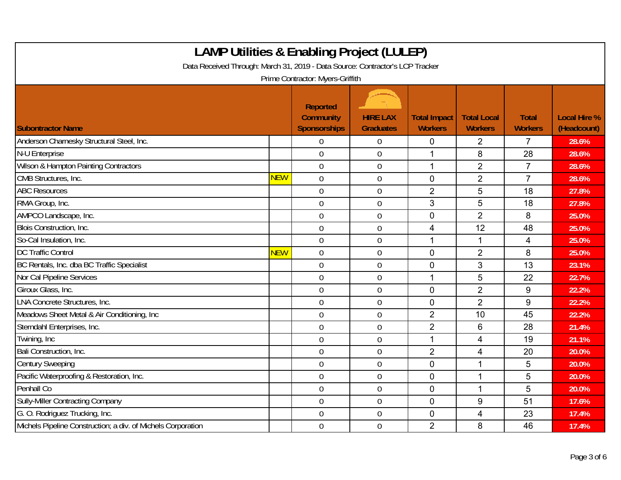| <b>LAMP Utilities &amp; Enabling Project (LULEP)</b><br>Data Received Through: March 31, 2019 - Data Source: Contractor's LCP Tracker |            | Prime Contractor: Myers-Griffith                    |                                     |                                       |                                      |                                |                                    |
|---------------------------------------------------------------------------------------------------------------------------------------|------------|-----------------------------------------------------|-------------------------------------|---------------------------------------|--------------------------------------|--------------------------------|------------------------------------|
| <b>Subontractor Name</b>                                                                                                              |            | Reported<br><b>Community</b><br><b>Sponsorships</b> | <b>HIRE LAX</b><br><b>Graduates</b> | <b>Total Impact</b><br><b>Workers</b> | <b>Total Local</b><br><b>Workers</b> | <b>Total</b><br><b>Workers</b> | <b>Local Hire %</b><br>(Headcount) |
| Anderson Charnesky Structural Steel, Inc.                                                                                             |            | $\overline{0}$                                      | 0                                   | $\mathbf 0$                           | $\overline{2}$                       | $\overline{7}$                 | 28.6%                              |
| N-U Enterprise                                                                                                                        |            | $\mathbf 0$                                         | $\mathbf 0$                         | 1                                     | 8                                    | 28                             | 28.6%                              |
| Wilson & Hampton Painting Contractors                                                                                                 |            | $\boldsymbol{0}$                                    | $\boldsymbol{0}$                    | $\mathbf{1}$                          | $\overline{2}$                       | $\overline{7}$                 | 28.6%                              |
| CMB Structures, Inc.                                                                                                                  | NEW        | $\boldsymbol{0}$                                    | $\boldsymbol{0}$                    | $\overline{0}$                        | $\overline{2}$                       | $\overline{7}$                 | 28.6%                              |
| <b>ABC Resources</b>                                                                                                                  |            | $\overline{0}$                                      | $\mathbf 0$                         | $\overline{2}$                        | 5                                    | 18                             | 27.8%                              |
| RMA Group, Inc.                                                                                                                       |            | $\overline{0}$                                      | $\overline{0}$                      | 3                                     | 5                                    | 18                             | 27.8%                              |
| AMPCO Landscape, Inc.                                                                                                                 |            | $\overline{0}$                                      | $\mathbf 0$                         | $\mathbf 0$                           | $\overline{2}$                       | 8                              | 25.0%                              |
| Blois Construction, Inc.                                                                                                              |            | $\mathbf 0$                                         | $\mathbf 0$                         | 4                                     | 12                                   | 48                             | 25.0%                              |
| So-Cal Insulation, Inc.                                                                                                               |            | $\mathbf 0$                                         | $\mathbf 0$                         | 1                                     | 1                                    | 4                              | 25.0%                              |
| <b>DC Traffic Control</b>                                                                                                             | <b>NEW</b> | $\mathbf 0$                                         | $\mathbf 0$                         | $\mathbf 0$                           | $\overline{2}$                       | 8                              | 25.0%                              |
| BC Rentals, Inc. dba BC Traffic Specialist                                                                                            |            | $\overline{0}$                                      | $\overline{0}$                      | $\overline{0}$                        | 3                                    | 13                             | 23.1%                              |
| Nor Cal Pipeline Services                                                                                                             |            | $\mathbf 0$                                         | $\mathbf 0$                         | 1                                     | 5                                    | 22                             | 22.7%                              |
| Giroux Glass, Inc.                                                                                                                    |            | $\mathbf 0$                                         | $\mathbf 0$                         | $\mathbf 0$                           | $\overline{2}$                       | $\boldsymbol{9}$               | 22.2%                              |
| LNA Concrete Structures, Inc.                                                                                                         |            | $\overline{0}$                                      | $\mathbf 0$                         | $\overline{0}$                        | $\overline{2}$                       | 9                              | 22.2%                              |
| Meadows Sheet Metal & Air Conditioning, Inc.                                                                                          |            | $\mathbf 0$                                         | $\mathbf 0$                         | $\overline{2}$                        | 10                                   | 45                             | 22.2%                              |
| Sterndahl Enterprises, Inc.                                                                                                           |            | $\mathbf 0$                                         | $\mathbf 0$                         | $\overline{2}$                        | 6                                    | 28                             | 21.4%                              |
| Twining, Inc                                                                                                                          |            | $\overline{0}$                                      | $\overline{0}$                      | 1                                     | 4                                    | 19                             | 21.1%                              |
| Bali Construction, Inc.                                                                                                               |            | $\mathbf 0$                                         | $\mathbf 0$                         | $\overline{2}$                        | 4                                    | 20                             | 20.0%                              |
| <b>Century Sweeping</b>                                                                                                               |            | $\overline{0}$                                      | $\overline{0}$                      | $\overline{0}$                        | 1                                    | 5                              | 20.0%                              |
| Pacific Waterproofing & Restoration, Inc.                                                                                             |            | $\mathbf 0$                                         | $\boldsymbol{0}$                    | $\mathbf 0$                           | 1                                    | 5                              | 20.0%                              |
| Penhall Co                                                                                                                            |            | $\mathbf 0$                                         | $\boldsymbol{0}$                    | $\mathbf 0$                           | 1                                    | 5                              | 20.0%                              |
| <b>Sully-Miller Contracting Company</b>                                                                                               |            | $\overline{0}$                                      | $\overline{0}$                      | $\overline{0}$                        | 9                                    | 51                             | 17.6%                              |
| G. O. Rodriquez Trucking, Inc.                                                                                                        |            | $\mathbf 0$                                         | $\boldsymbol{0}$                    | $\mathbf 0$                           | 4                                    | 23                             | 17.4%                              |
| Michels Pipeline Construction; a div. of Michels Corporation                                                                          |            | $\mathbf 0$                                         | $\mathbf 0$                         | $\overline{2}$                        | 8                                    | 46                             | 17.4%                              |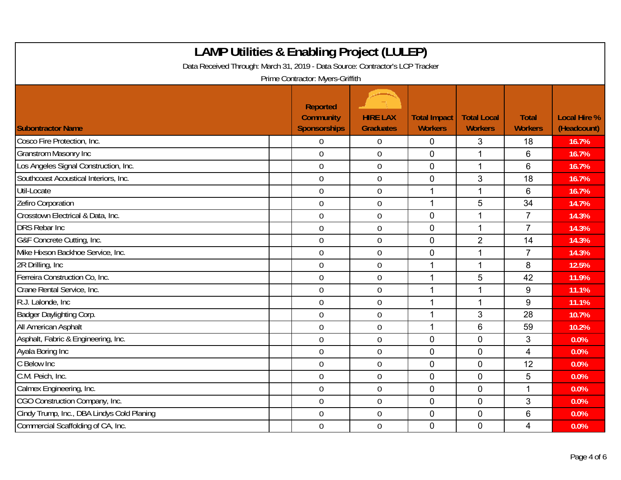| <b>LAMP Utilities &amp; Enabling Project (LULEP)</b><br>Data Received Through: March 31, 2019 - Data Source: Contractor's LCP Tracker |                                                            |                                     |                                       |                                      |                                |                                    |
|---------------------------------------------------------------------------------------------------------------------------------------|------------------------------------------------------------|-------------------------------------|---------------------------------------|--------------------------------------|--------------------------------|------------------------------------|
|                                                                                                                                       | Prime Contractor: Myers-Griffith                           |                                     |                                       |                                      |                                |                                    |
| <b>Subontractor Name</b>                                                                                                              | <b>Reported</b><br><b>Community</b><br><b>Sponsorships</b> | <b>HIRE LAX</b><br><b>Graduates</b> | <b>Total Impact</b><br><b>Workers</b> | <b>Total Local</b><br><b>Workers</b> | <b>Total</b><br><b>Workers</b> | <b>Local Hire %</b><br>(Headcount) |
| Cosco Fire Protection, Inc.                                                                                                           | $\mathbf 0$                                                | 0                                   | $\mathbf 0$                           | 3                                    | 18                             | 16.7%                              |
| <b>Granstrom Masonry Inc</b>                                                                                                          | $\overline{0}$                                             | $\mathbf 0$                         | $\mathbf 0$                           | 1                                    | $6\phantom{1}$                 | 16.7%                              |
| Los Angeles Signal Construction, Inc.                                                                                                 | $\mathbf 0$                                                | $\boldsymbol{0}$                    | $\mathbf 0$                           | 1                                    | $6\phantom{1}$                 | 16.7%                              |
| Southcoast Acoustical Interiors, Inc.                                                                                                 | $\mathbf 0$                                                | $\mathbf 0$                         | $\mathbf 0$                           | 3                                    | 18                             | 16.7%                              |
| Util-Locate                                                                                                                           | $\mathbf 0$                                                | $\overline{0}$                      | 1                                     | $\mathbf{1}$                         | 6                              | 16.7%                              |
| Zefiro Corporation                                                                                                                    | $\overline{0}$                                             | $\boldsymbol{0}$                    | 1                                     | 5                                    | 34                             | 14.7%                              |
| Crosstown Electrical & Data, Inc.                                                                                                     | $\overline{0}$                                             | $\mathbf 0$                         | $\mathbf 0$                           | 1                                    | $\overline{7}$                 | 14.3%                              |
| <b>DRS Rebar Inc</b>                                                                                                                  | $\mathbf 0$                                                | 0                                   | $\mathbf 0$                           | 1                                    | $\overline{7}$                 | 14.3%                              |
| G&F Concrete Cutting, Inc.                                                                                                            | $\mathbf 0$                                                | $\boldsymbol{0}$                    | $\mathbf 0$                           | $\overline{2}$                       | 14                             | 14.3%                              |
| Mike Hixson Backhoe Service, Inc.                                                                                                     | $\boldsymbol{0}$                                           | $\boldsymbol{0}$                    | $\mathbf 0$                           | $\mathbf{1}$                         | $\overline{7}$                 | 14.3%                              |
| 2R Drilling, Inc.                                                                                                                     | $\overline{0}$                                             | $\mathbf 0$                         | 1                                     | $\mathbf 1$                          | 8                              | 12.5%                              |
| Ferreira Construction Co. Inc.                                                                                                        | $\mathbf 0$                                                | $\mathbf 0$                         | 1                                     | 5                                    | 42                             | 11.9%                              |
| Crane Rental Service, Inc.                                                                                                            | $\mathbf 0$                                                | $\mathbf 0$                         | 1                                     | $\mathbf 1$                          | 9                              | 11.1%                              |
| R.J. Lalonde, Inc.                                                                                                                    | $\overline{0}$                                             | $\boldsymbol{0}$                    | 1                                     | $\mathbf 1$                          | 9                              | 11.1%                              |
| Badger Daylighting Corp.                                                                                                              | $\mathbf 0$                                                | $\boldsymbol{0}$                    | 1                                     | 3                                    | 28                             | 10.7%                              |
| All American Asphalt                                                                                                                  | $\boldsymbol{0}$                                           | $\mathbf 0$                         | 1                                     | 6                                    | 59                             | 10.2%                              |
| Asphalt, Fabric & Engineering, Inc.                                                                                                   | $\overline{0}$                                             | 0                                   | $\mathbf{0}$                          | $\overline{0}$                       | 3                              | 0.0%                               |
| Ayala Boring Inc                                                                                                                      | $\mathbf 0$                                                | $\mathbf 0$                         | $\overline{0}$                        | $\Omega$                             | $\overline{4}$                 | 0.0%                               |
| C Below Inc                                                                                                                           | $\overline{0}$                                             | $\overline{0}$                      | $\mathbf 0$                           | $\overline{0}$                       | 12                             | 0.0%                               |
| C.M. Peich, Inc.                                                                                                                      | $\overline{0}$                                             | 0                                   | $\mathbf 0$                           | $\overline{0}$                       | 5                              | 0.0%                               |
| Calmex Engineering, Inc.                                                                                                              | $\mathbf 0$                                                | $\boldsymbol{0}$                    | $\mathbf 0$                           | $\overline{0}$                       | 1                              | 0.0%                               |
| CGO Construction Company, Inc.                                                                                                        | $\boldsymbol{0}$                                           | $\boldsymbol{0}$                    | $\mathbf 0$                           | 0                                    | $\mathfrak{S}$                 | 0.0%                               |
| Cindy Trump, Inc., DBA Lindys Cold Planing                                                                                            | $\overline{0}$                                             | $\mathbf 0$                         | $\mathbf 0$                           | $\overline{0}$                       | 6                              | 0.0%                               |
| Commercial Scaffolding of CA, Inc.                                                                                                    | $\mathbf 0$                                                | $\mathbf 0$                         | $\mathbf 0$                           | $\overline{0}$                       | $\overline{4}$                 | 0.0%                               |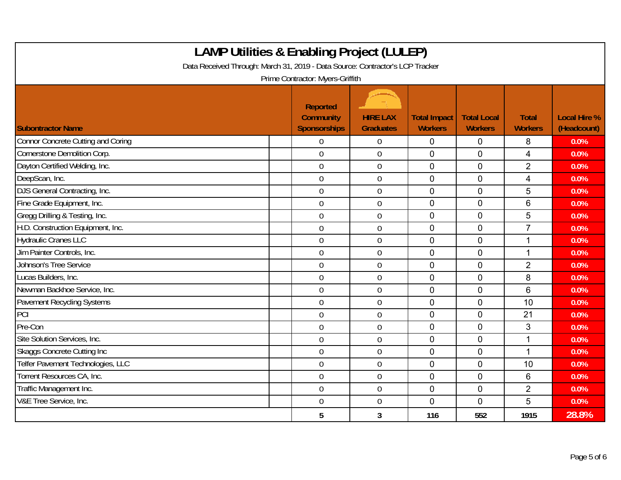| <b>LAMP Utilities &amp; Enabling Project (LULEP)</b><br>Data Received Through: March 31, 2019 - Data Source: Contractor's LCP Tracker |                                                                                                |                                     |                                       |                                      |                                |                                    |
|---------------------------------------------------------------------------------------------------------------------------------------|------------------------------------------------------------------------------------------------|-------------------------------------|---------------------------------------|--------------------------------------|--------------------------------|------------------------------------|
| <b>Subontractor Name</b>                                                                                                              | Prime Contractor: Myers-Griffith<br><b>Reported</b><br><b>Community</b><br><b>Sponsorships</b> | <b>HIRE LAX</b><br><b>Graduates</b> | <b>Total Impact</b><br><b>Workers</b> | <b>Total Local</b><br><b>Workers</b> | <b>Total</b><br><b>Workers</b> | <b>Local Hire %</b><br>(Headcount) |
| <b>Connor Concrete Cutting and Coring</b>                                                                                             | $\mathbf 0$                                                                                    | 0                                   | $\mathbf 0$                           | $\overline{0}$                       | 8                              | 0.0%                               |
| Cornerstone Demolition Corp.                                                                                                          | $\mathbf 0$                                                                                    | $\mathbf 0$                         | $\mathbf 0$                           | $\overline{0}$                       | $\overline{4}$                 | 0.0%                               |
| Dayton Certified Welding, Inc.                                                                                                        | $\overline{0}$                                                                                 | $\overline{0}$                      | $\overline{0}$                        | $\overline{0}$                       | $\overline{2}$                 | 0.0%                               |
| DeepScan, Inc.                                                                                                                        | $\overline{0}$                                                                                 | $\mathbf 0$                         | $\mathbf{0}$                          | $\Omega$                             | $\overline{4}$                 | 0.0%                               |
| DJS General Contracting, Inc.                                                                                                         | $\overline{0}$                                                                                 | 0                                   | $\overline{0}$                        | $\Omega$                             | 5                              | 0.0%                               |
| Fine Grade Equipment, Inc.                                                                                                            | $\mathbf 0$                                                                                    | $\mathbf 0$                         | $\mathbf 0$                           | $\overline{0}$                       | 6                              | 0.0%                               |
| Gregg Drilling & Testing, Inc.                                                                                                        | $\mathbf 0$                                                                                    | $\mathbf 0$                         | $\mathbf 0$                           | 0                                    | 5                              | 0.0%                               |
| H.D. Construction Equipment, Inc.                                                                                                     | $\overline{0}$                                                                                 | $\overline{0}$                      | $\overline{0}$                        | $\Omega$                             | $\overline{7}$                 | 0.0%                               |
| <b>Hydraulic Cranes LLC</b>                                                                                                           | $\overline{0}$                                                                                 | $\mathbf 0$                         | $\mathbf 0$                           | $\mathbf 0$                          | 1                              | 0.0%                               |
| Jim Painter Controls, Inc.                                                                                                            | $\overline{0}$                                                                                 | $\overline{0}$                      | $\overline{0}$                        | $\Omega$                             | 1                              | 0.0%                               |
| <b>Johnson's Tree Service</b>                                                                                                         | $\mathbf 0$                                                                                    | $0\,$                               | $\mathbf 0$                           | $\overline{0}$                       | $\overline{2}$                 | 0.0%                               |
| Lucas Builders, Inc.                                                                                                                  | $\mathbf 0$                                                                                    | $\overline{0}$                      | $\mathbf 0$                           | $\overline{0}$                       | 8                              | 0.0%                               |
| Newman Backhoe Service, Inc.                                                                                                          | $\overline{0}$                                                                                 | $\overline{0}$                      | $\overline{0}$                        | $\mathbf 0$                          | 6                              | 0.0%                               |
| <b>Pavement Recycling Systems</b>                                                                                                     | $\overline{0}$                                                                                 | 0                                   | $\mathbf{0}$                          | $\mathbf{0}$                         | 10                             | 0.0%                               |
| PCI                                                                                                                                   | $\overline{0}$                                                                                 | 0                                   | $\overline{0}$                        | $\mathbf 0$                          | 21                             | 0.0%                               |
| Pre-Con                                                                                                                               | $\mathbf 0$                                                                                    | $0\,$                               | $\mathbf 0$                           | $\mathbf 0$                          | 3                              | 0.0%                               |
| Site Solution Services, Inc.                                                                                                          | $\mathbf 0$                                                                                    | $\mathbf 0$                         | $\mathbf 0$                           | $\overline{0}$                       | 1                              | 0.0%                               |
| <b>Skaggs Concrete Cutting Inc</b>                                                                                                    | $\mathbf 0$                                                                                    | 0                                   | $\mathbf 0$                           | $\mathbf 0$                          | 1                              | 0.0%                               |
| Telfer Pavement Technologies, LLC                                                                                                     | $\overline{0}$                                                                                 | $\overline{0}$                      | $\mathbf{0}$                          | $\mathbf{0}$                         | 10                             | 0.0%                               |
| Torrent Resources CA, Inc.                                                                                                            | $\overline{0}$                                                                                 | 0                                   | $\mathbf 0$                           | $\overline{0}$                       | $6\phantom{1}$                 | 0.0%                               |
| Traffic Management Inc.                                                                                                               | $\overline{0}$                                                                                 | $\boldsymbol{0}$                    | $\mathbf{0}$                          | $\Omega$                             | $\overline{2}$                 | 0.0%                               |
| V&E Tree Service, Inc.                                                                                                                | $\mathbf 0$                                                                                    | 0                                   | $\mathbf{0}$                          | $\overline{0}$                       | 5                              | 0.0%                               |
|                                                                                                                                       | 5                                                                                              | 3                                   | 116                                   | 552                                  | 1915                           | 28.8%                              |